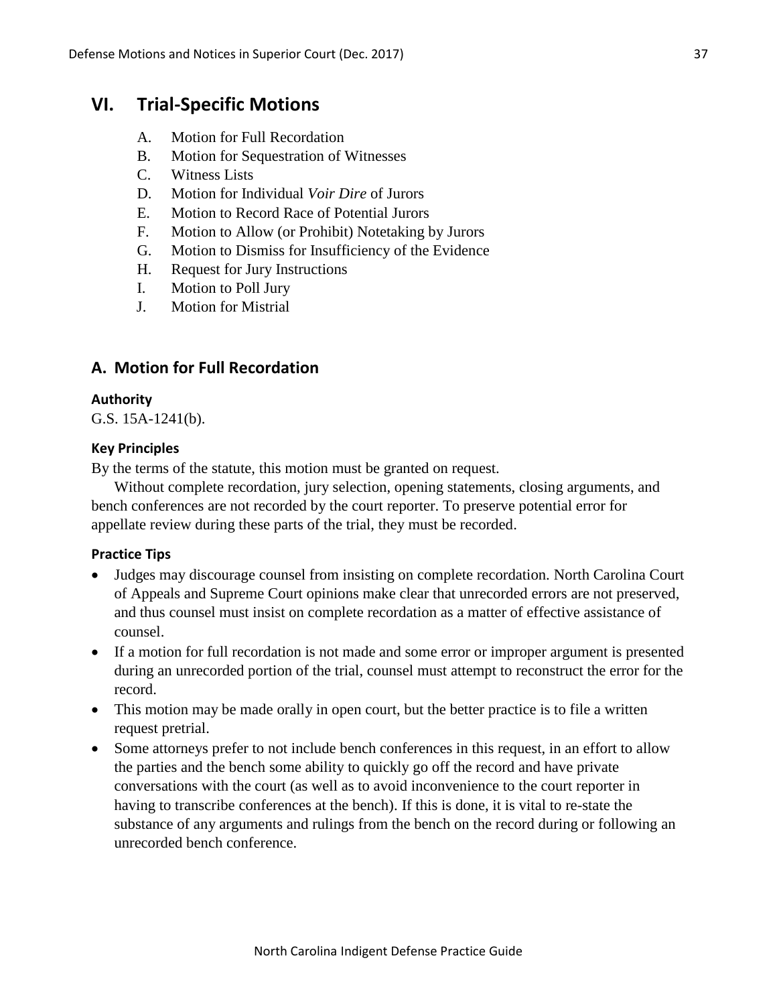# **VI. Trial-Specific Motions**

- A. Motion for Full Recordation
- B. Motion for Sequestration of Witnesses
- C. Witness Lists
- D. Motion for Individual *Voir Dire* of Jurors
- E. Motion to Record Race of Potential Jurors
- F. Motion to Allow (or Prohibit) Notetaking by Jurors
- G. Motion to Dismiss for Insufficiency of the Evidence
- H. Request for Jury Instructions
- I. Motion to Poll Jury
- J. Motion for Mistrial

# **A. Motion for Full Recordation**

#### **Authority**

G.S. 15A-1241(b).

#### **Key Principles**

By the terms of the statute, this motion must be granted on request.

Without complete recordation, jury selection, opening statements, closing arguments, and bench conferences are not recorded by the court reporter. To preserve potential error for appellate review during these parts of the trial, they must be recorded.

#### **Practice Tips**

- Judges may discourage counsel from insisting on complete recordation. North Carolina Court of Appeals and Supreme Court opinions make clear that unrecorded errors are not preserved, and thus counsel must insist on complete recordation as a matter of effective assistance of counsel.
- If a motion for full recordation is not made and some error or improper argument is presented during an unrecorded portion of the trial, counsel must attempt to reconstruct the error for the record.
- This motion may be made orally in open court, but the better practice is to file a written request pretrial.
- Some attorneys prefer to not include bench conferences in this request, in an effort to allow the parties and the bench some ability to quickly go off the record and have private conversations with the court (as well as to avoid inconvenience to the court reporter in having to transcribe conferences at the bench). If this is done, it is vital to re-state the substance of any arguments and rulings from the bench on the record during or following an unrecorded bench conference.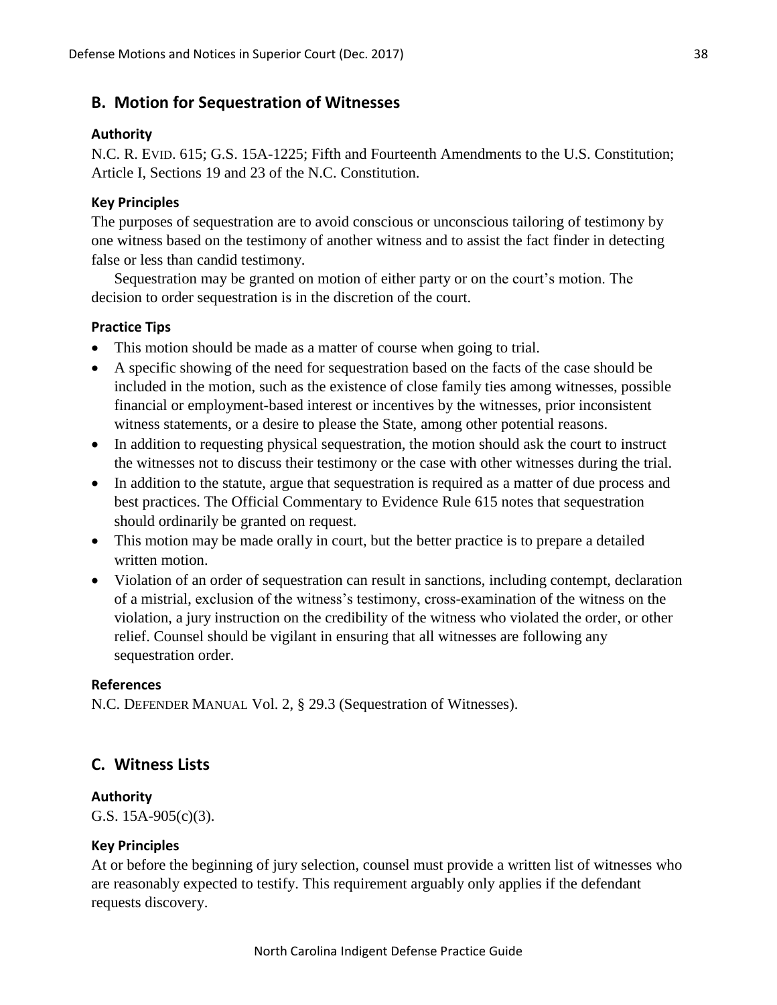# **B. Motion for Sequestration of Witnesses**

#### **Authority**

N.C. R. EVID. 615; G.S. 15A-1225; Fifth and Fourteenth Amendments to the U.S. Constitution; Article I, Sections 19 and 23 of the N.C. Constitution.

### **Key Principles**

The purposes of sequestration are to avoid conscious or unconscious tailoring of testimony by one witness based on the testimony of another witness and to assist the fact finder in detecting false or less than candid testimony.

Sequestration may be granted on motion of either party or on the court's motion. The decision to order sequestration is in the discretion of the court.

#### **Practice Tips**

- This motion should be made as a matter of course when going to trial.
- A specific showing of the need for sequestration based on the facts of the case should be included in the motion, such as the existence of close family ties among witnesses, possible financial or employment-based interest or incentives by the witnesses, prior inconsistent witness statements, or a desire to please the State, among other potential reasons.
- In addition to requesting physical sequestration, the motion should ask the court to instruct the witnesses not to discuss their testimony or the case with other witnesses during the trial.
- In addition to the statute, argue that sequestration is required as a matter of due process and best practices. The Official Commentary to Evidence Rule 615 notes that sequestration should ordinarily be granted on request.
- This motion may be made orally in court, but the better practice is to prepare a detailed written motion.
- Violation of an order of sequestration can result in sanctions, including contempt, declaration of a mistrial, exclusion of the witness's testimony, cross-examination of the witness on the violation, a jury instruction on the credibility of the witness who violated the order, or other relief. Counsel should be vigilant in ensuring that all witnesses are following any sequestration order.

### **References**

N.C. DEFENDER MANUAL Vol. 2, § 29.3 (Sequestration of Witnesses).

### **C. Witness Lists**

#### **Authority**

G.S. 15A-905(c)(3).

#### **Key Principles**

At or before the beginning of jury selection, counsel must provide a written list of witnesses who are reasonably expected to testify. This requirement arguably only applies if the defendant requests discovery.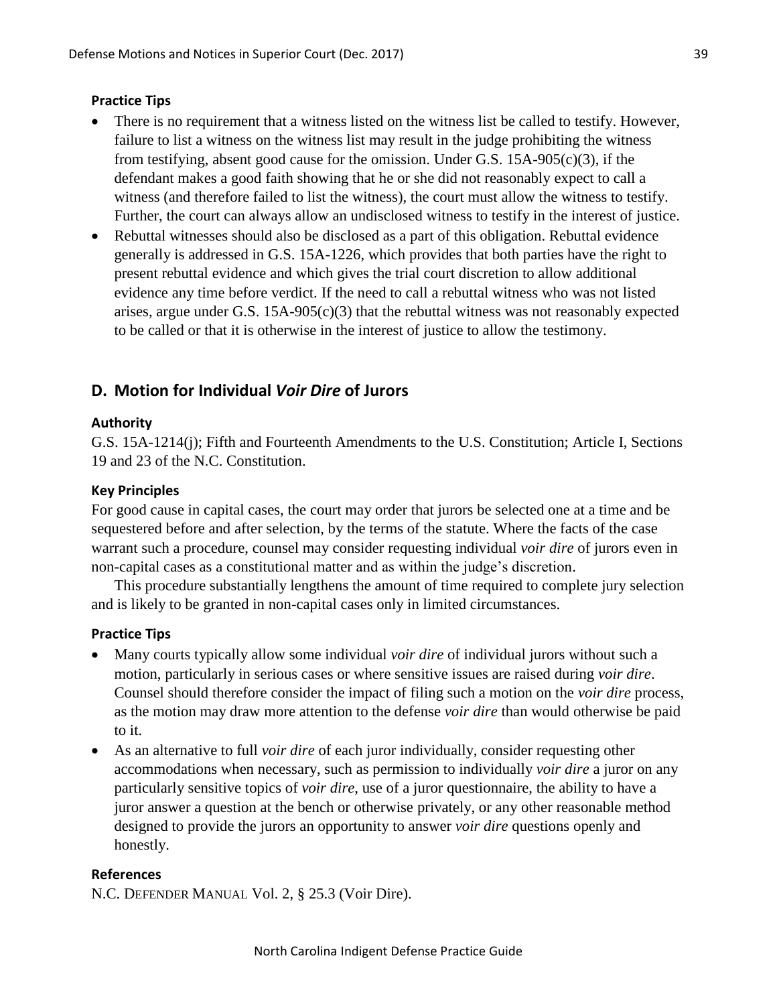#### **Practice Tips**

- There is no requirement that a witness listed on the witness list be called to testify. However, failure to list a witness on the witness list may result in the judge prohibiting the witness from testifying, absent good cause for the omission. Under G.S. 15A-905(c)(3), if the defendant makes a good faith showing that he or she did not reasonably expect to call a witness (and therefore failed to list the witness), the court must allow the witness to testify. Further, the court can always allow an undisclosed witness to testify in the interest of justice.
- Rebuttal witnesses should also be disclosed as a part of this obligation. Rebuttal evidence generally is addressed in G.S. 15A-1226, which provides that both parties have the right to present rebuttal evidence and which gives the trial court discretion to allow additional evidence any time before verdict. If the need to call a rebuttal witness who was not listed arises, argue under G.S. 15A-905(c)(3) that the rebuttal witness was not reasonably expected to be called or that it is otherwise in the interest of justice to allow the testimony.

# **D. Motion for Individual** *Voir Dire* **of Jurors**

#### **Authority**

G.S. 15A-1214(j); Fifth and Fourteenth Amendments to the U.S. Constitution; Article I, Sections 19 and 23 of the N.C. Constitution.

#### **Key Principles**

For good cause in capital cases, the court may order that jurors be selected one at a time and be sequestered before and after selection, by the terms of the statute. Where the facts of the case warrant such a procedure, counsel may consider requesting individual *voir dire* of jurors even in non-capital cases as a constitutional matter and as within the judge's discretion.

This procedure substantially lengthens the amount of time required to complete jury selection and is likely to be granted in non-capital cases only in limited circumstances.

# **Practice Tips**

- Many courts typically allow some individual *voir dire* of individual jurors without such a motion, particularly in serious cases or where sensitive issues are raised during *voir dire*. Counsel should therefore consider the impact of filing such a motion on the *voir dire* process, as the motion may draw more attention to the defense *voir dire* than would otherwise be paid to it.
- As an alternative to full *voir dire* of each juror individually, consider requesting other accommodations when necessary, such as permission to individually *voir dire* a juror on any particularly sensitive topics of *voir dire*, use of a juror questionnaire, the ability to have a juror answer a question at the bench or otherwise privately, or any other reasonable method designed to provide the jurors an opportunity to answer *voir dire* questions openly and honestly.

#### **References**

N.C. DEFENDER MANUAL Vol. 2, § 25.3 (Voir Dire).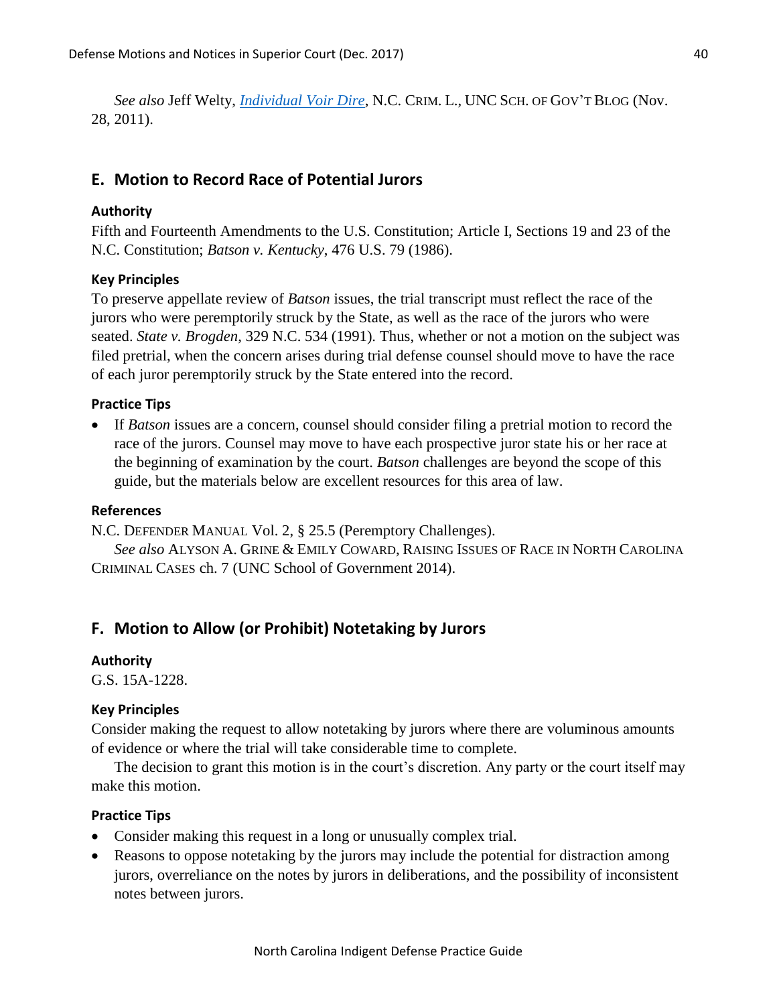*See also* Jeff Welty, *[Individual Voir Dire](https://nccriminallaw.sog.unc.edu/individual-voir-dire/)*, N.C. CRIM. L., UNC SCH. OF GOV'T BLOG (Nov. 28, 2011).

# **E. Motion to Record Race of Potential Jurors**

## **Authority**

Fifth and Fourteenth Amendments to the U.S. Constitution; Article I, Sections 19 and 23 of the N.C. Constitution; *Batson v. Kentucky*, 476 U.S. 79 (1986).

### **Key Principles**

To preserve appellate review of *Batson* issues, the trial transcript must reflect the race of the jurors who were peremptorily struck by the State, as well as the race of the jurors who were seated. *State v. Brogden*, 329 N.C. 534 (1991). Thus, whether or not a motion on the subject was filed pretrial, when the concern arises during trial defense counsel should move to have the race of each juror peremptorily struck by the State entered into the record.

### **Practice Tips**

 If *Batson* issues are a concern, counsel should consider filing a pretrial motion to record the race of the jurors. Counsel may move to have each prospective juror state his or her race at the beginning of examination by the court. *Batson* challenges are beyond the scope of this guide, but the materials below are excellent resources for this area of law.

#### **References**

N.C. DEFENDER MANUAL Vol. 2, § 25.5 (Peremptory Challenges).

*See also* ALYSON A. GRINE & EMILY COWARD, RAISING ISSUES OF RACE IN NORTH CAROLINA CRIMINAL CASES ch. 7 (UNC School of Government 2014).

# **F. Motion to Allow (or Prohibit) Notetaking by Jurors**

#### **Authority**

G.S. 15A-1228.

#### **Key Principles**

Consider making the request to allow notetaking by jurors where there are voluminous amounts of evidence or where the trial will take considerable time to complete.

The decision to grant this motion is in the court's discretion. Any party or the court itself may make this motion.

## **Practice Tips**

- Consider making this request in a long or unusually complex trial.
- Reasons to oppose notetaking by the jurors may include the potential for distraction among jurors, overreliance on the notes by jurors in deliberations, and the possibility of inconsistent notes between jurors.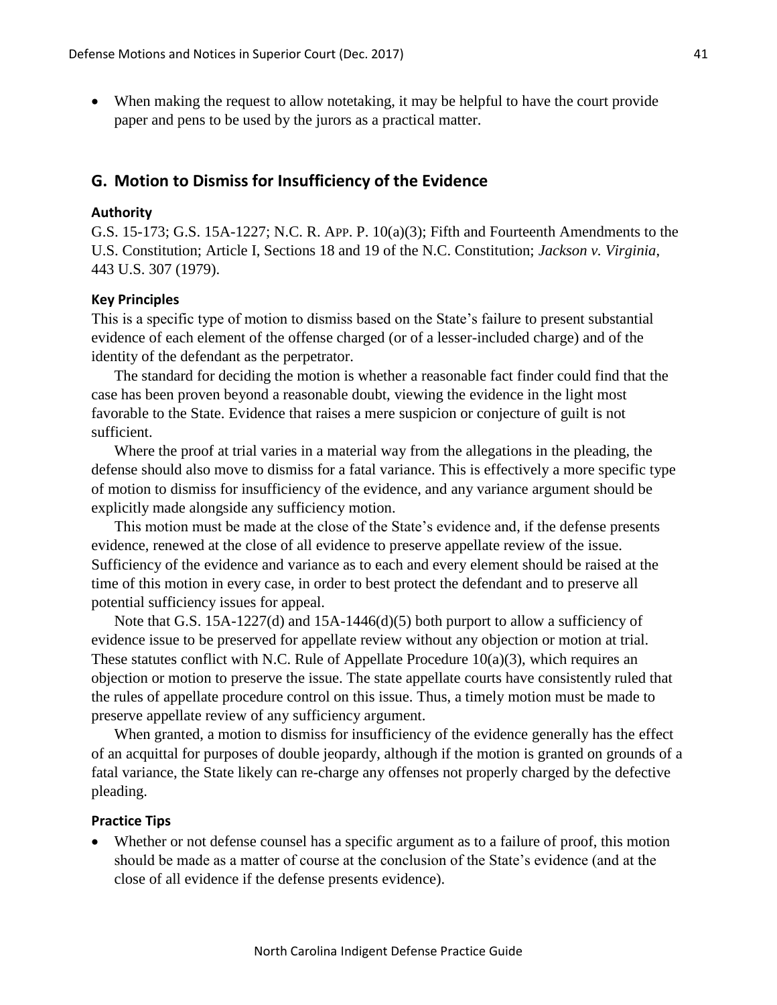When making the request to allow notetaking, it may be helpful to have the court provide paper and pens to be used by the jurors as a practical matter.

## **G. Motion to Dismiss for Insufficiency of the Evidence**

#### **Authority**

G.S. 15-173; G.S. 15A-1227; N.C. R. APP. P. 10(a)(3); Fifth and Fourteenth Amendments to the U.S. Constitution; Article I, Sections 18 and 19 of the N.C. Constitution; *Jackson v. Virginia*, 443 U.S. 307 (1979).

#### **Key Principles**

This is a specific type of motion to dismiss based on the State's failure to present substantial evidence of each element of the offense charged (or of a lesser-included charge) and of the identity of the defendant as the perpetrator.

The standard for deciding the motion is whether a reasonable fact finder could find that the case has been proven beyond a reasonable doubt, viewing the evidence in the light most favorable to the State. Evidence that raises a mere suspicion or conjecture of guilt is not sufficient.

Where the proof at trial varies in a material way from the allegations in the pleading, the defense should also move to dismiss for a fatal variance. This is effectively a more specific type of motion to dismiss for insufficiency of the evidence, and any variance argument should be explicitly made alongside any sufficiency motion.

This motion must be made at the close of the State's evidence and, if the defense presents evidence, renewed at the close of all evidence to preserve appellate review of the issue. Sufficiency of the evidence and variance as to each and every element should be raised at the time of this motion in every case, in order to best protect the defendant and to preserve all potential sufficiency issues for appeal.

Note that G.S. 15A-1227(d) and 15A-1446(d)(5) both purport to allow a sufficiency of evidence issue to be preserved for appellate review without any objection or motion at trial. These statutes conflict with N.C. Rule of Appellate Procedure 10(a)(3), which requires an objection or motion to preserve the issue. The state appellate courts have consistently ruled that the rules of appellate procedure control on this issue. Thus, a timely motion must be made to preserve appellate review of any sufficiency argument.

When granted, a motion to dismiss for insufficiency of the evidence generally has the effect of an acquittal for purposes of double jeopardy, although if the motion is granted on grounds of a fatal variance, the State likely can re-charge any offenses not properly charged by the defective pleading.

#### **Practice Tips**

 Whether or not defense counsel has a specific argument as to a failure of proof, this motion should be made as a matter of course at the conclusion of the State's evidence (and at the close of all evidence if the defense presents evidence).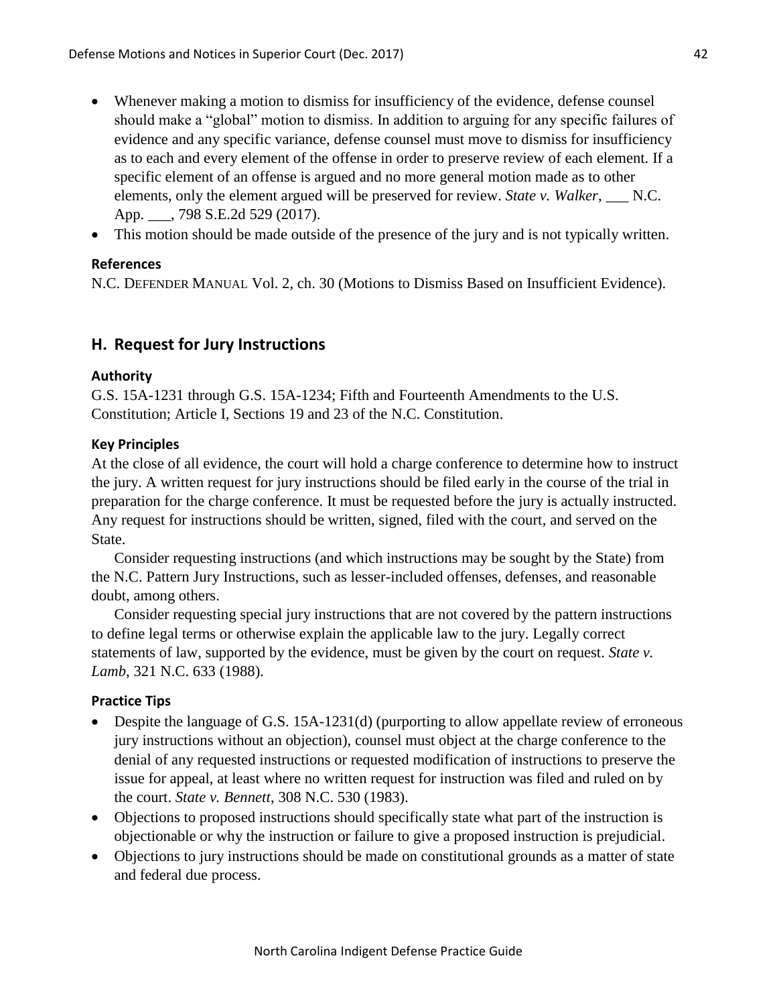- Whenever making a motion to dismiss for insufficiency of the evidence, defense counsel should make a "global" motion to dismiss. In addition to arguing for any specific failures of evidence and any specific variance, defense counsel must move to dismiss for insufficiency as to each and every element of the offense in order to preserve review of each element. If a specific element of an offense is argued and no more general motion made as to other elements, only the element argued will be preserved for review. *State v. Walker*, N.C. App. \_\_\_, 798 S.E.2d 529 (2017).
- This motion should be made outside of the presence of the jury and is not typically written.

### **References**

N.C. DEFENDER MANUAL Vol. 2, ch. 30 (Motions to Dismiss Based on Insufficient Evidence).

# **H. Request for Jury Instructions**

#### **Authority**

G.S. 15A-1231 through G.S. 15A-1234; Fifth and Fourteenth Amendments to the U.S. Constitution; Article I, Sections 19 and 23 of the N.C. Constitution.

#### **Key Principles**

At the close of all evidence, the court will hold a charge conference to determine how to instruct the jury. A written request for jury instructions should be filed early in the course of the trial in preparation for the charge conference. It must be requested before the jury is actually instructed. Any request for instructions should be written, signed, filed with the court, and served on the State.

Consider requesting instructions (and which instructions may be sought by the State) from the N.C. Pattern Jury Instructions, such as lesser-included offenses, defenses, and reasonable doubt, among others.

Consider requesting special jury instructions that are not covered by the pattern instructions to define legal terms or otherwise explain the applicable law to the jury. Legally correct statements of law, supported by the evidence, must be given by the court on request. *State v. Lamb*, 321 N.C. 633 (1988).

#### **Practice Tips**

- Despite the language of G.S. 15A-1231(d) (purporting to allow appellate review of erroneous jury instructions without an objection), counsel must object at the charge conference to the denial of any requested instructions or requested modification of instructions to preserve the issue for appeal, at least where no written request for instruction was filed and ruled on by the court. *State v. Bennett*, 308 N.C. 530 (1983).
- Objections to proposed instructions should specifically state what part of the instruction is objectionable or why the instruction or failure to give a proposed instruction is prejudicial.
- Objections to jury instructions should be made on constitutional grounds as a matter of state and federal due process.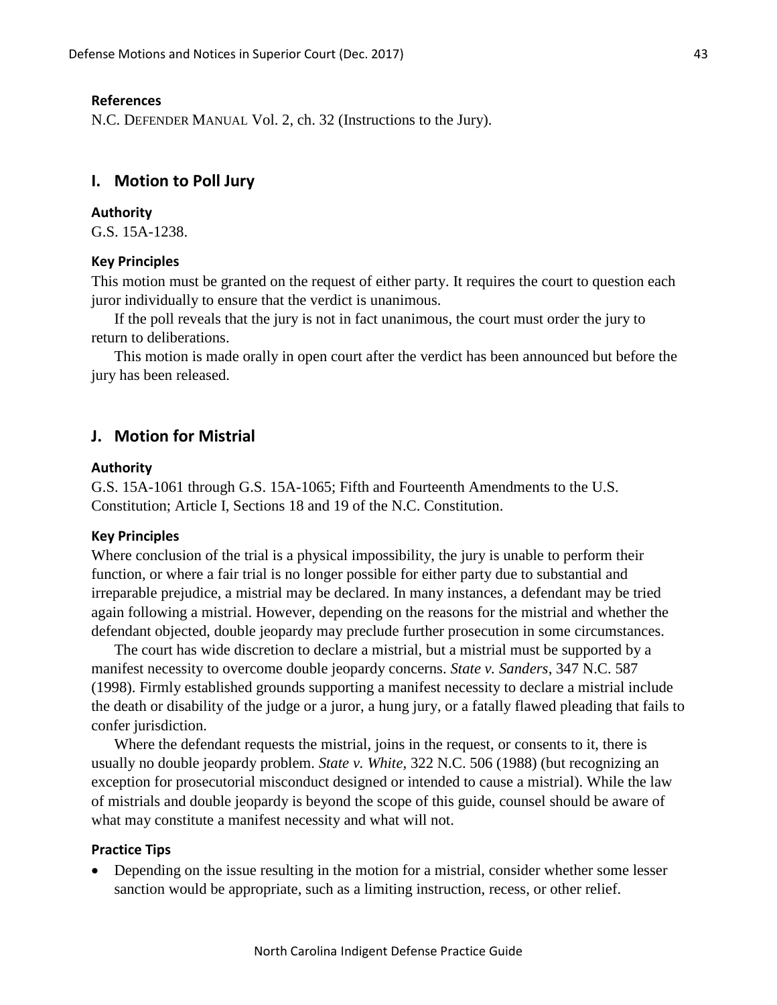#### **References**

N.C. DEFENDER MANUAL Vol. 2, ch. 32 (Instructions to the Jury).

## **I. Motion to Poll Jury**

#### **Authority**

G.S. 15A-1238.

#### **Key Principles**

This motion must be granted on the request of either party. It requires the court to question each juror individually to ensure that the verdict is unanimous.

If the poll reveals that the jury is not in fact unanimous, the court must order the jury to return to deliberations.

This motion is made orally in open court after the verdict has been announced but before the jury has been released.

# **J. Motion for Mistrial**

#### **Authority**

G.S. 15A-1061 through G.S. 15A-1065; Fifth and Fourteenth Amendments to the U.S. Constitution; Article I, Sections 18 and 19 of the N.C. Constitution.

#### **Key Principles**

Where conclusion of the trial is a physical impossibility, the jury is unable to perform their function, or where a fair trial is no longer possible for either party due to substantial and irreparable prejudice, a mistrial may be declared. In many instances, a defendant may be tried again following a mistrial. However, depending on the reasons for the mistrial and whether the defendant objected, double jeopardy may preclude further prosecution in some circumstances.

The court has wide discretion to declare a mistrial, but a mistrial must be supported by a manifest necessity to overcome double jeopardy concerns. *State v. Sanders*, 347 N.C. 587 (1998). Firmly established grounds supporting a manifest necessity to declare a mistrial include the death or disability of the judge or a juror, a hung jury, or a fatally flawed pleading that fails to confer jurisdiction.

Where the defendant requests the mistrial, joins in the request, or consents to it, there is usually no double jeopardy problem. *State v. White*, 322 N.C. 506 (1988) (but recognizing an exception for prosecutorial misconduct designed or intended to cause a mistrial). While the law of mistrials and double jeopardy is beyond the scope of this guide, counsel should be aware of what may constitute a manifest necessity and what will not.

#### **Practice Tips**

 Depending on the issue resulting in the motion for a mistrial, consider whether some lesser sanction would be appropriate, such as a limiting instruction, recess, or other relief.